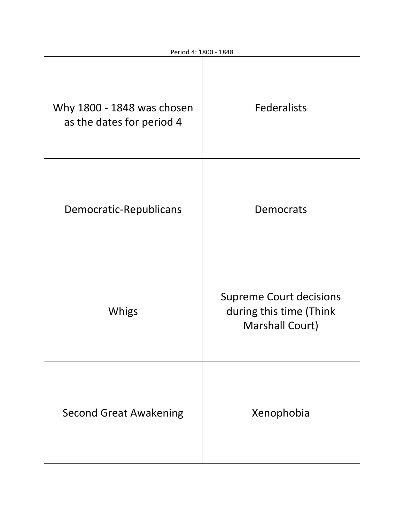| Why 1800 - 1848 was chosen<br>as the dates for period 4 | Federalists                                                                         |
|---------------------------------------------------------|-------------------------------------------------------------------------------------|
| Democratic-Republicans                                  | Democrats                                                                           |
| Whigs                                                   | <b>Supreme Court decisions</b><br>during this time (Think<br><b>Marshall Court)</b> |
| <b>Second Great Awakening</b>                           | Xenophobia                                                                          |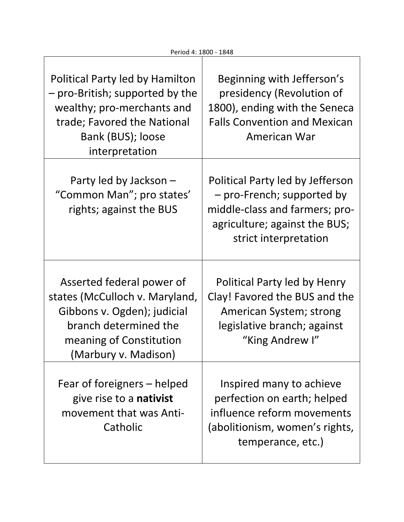| Political Party led by Hamilton<br>- pro-British; supported by the<br>wealthy; pro-merchants and<br>trade; Favored the National<br>Bank (BUS); loose<br>interpretation | Beginning with Jefferson's<br>presidency (Revolution of<br>1800), ending with the Seneca<br><b>Falls Convention and Mexican</b><br>American War            |
|------------------------------------------------------------------------------------------------------------------------------------------------------------------------|------------------------------------------------------------------------------------------------------------------------------------------------------------|
| Party led by Jackson -<br>"Common Man"; pro states'<br>rights; against the BUS                                                                                         | Political Party led by Jefferson<br>- pro-French; supported by<br>middle-class and farmers; pro-<br>agriculture; against the BUS;<br>strict interpretation |
| Asserted federal power of<br>states (McCulloch v. Maryland,<br>Gibbons v. Ogden); judicial<br>branch determined the<br>meaning of Constitution<br>(Marbury v. Madison) | Political Party led by Henry<br>Clay! Favored the BUS and the<br>American System; strong<br>legislative branch; against<br>"King Andrew I"                 |
| Fear of foreigners – helped<br>give rise to a <b>nativist</b><br>movement that was Anti-<br>Catholic                                                                   | Inspired many to achieve<br>perfection on earth; helped<br>influence reform movements<br>(abolitionism, women's rights,<br>temperance, etc.)               |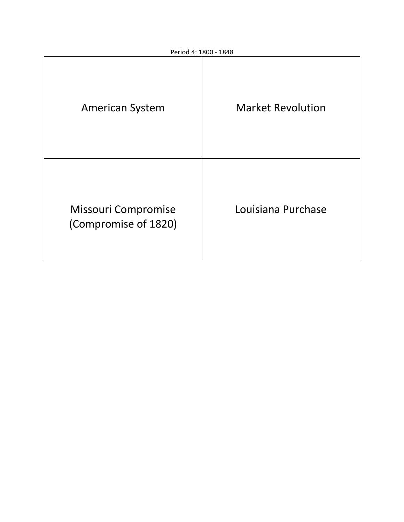| <b>American System</b>                      | <b>Market Revolution</b> |
|---------------------------------------------|--------------------------|
| Missouri Compromise<br>(Compromise of 1820) | Louisiana Purchase       |